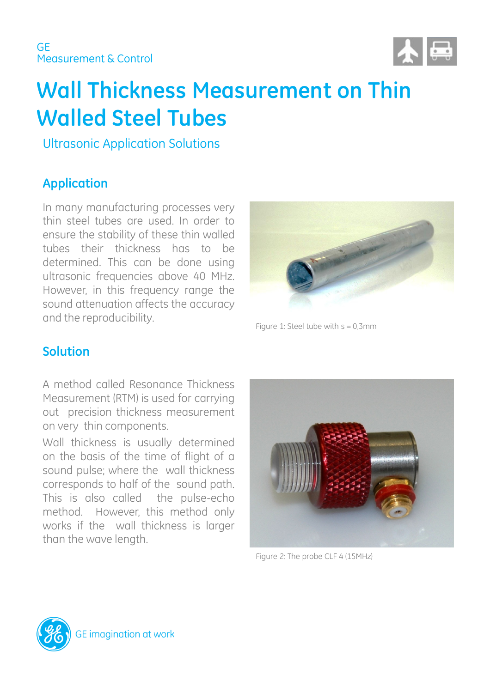

# **Wall Thickness Measurement on Thin Walled Steel Tubes**

Ultrasonic Application Solutions

### **Application**

In many manufacturing processes very thin steel tubes are used. In order to ensure the stability of these thin walled tubes their thickness has to be determined. This can be done using ultrasonic frequencies above 40 MHz. However, in this frequency range the sound attenuation affects the accuracy and the reproducibility.



Figure 1: Steel tube with  $s = 0,3$ mm

#### **Solution**

A method called Resonance Thickness Measurement (RTM) is used for carrying out precision thickness measurement on very thin components.

Wall thickness is usually determined on the basis of the time of flight of a sound pulse; where the wall thickness corresponds to half of the sound path. This is also called the pulse-echo method. However, this method only works if the wall thickness is larger than the wave length.



Figure 2: The probe CLF 4 (15MHz)